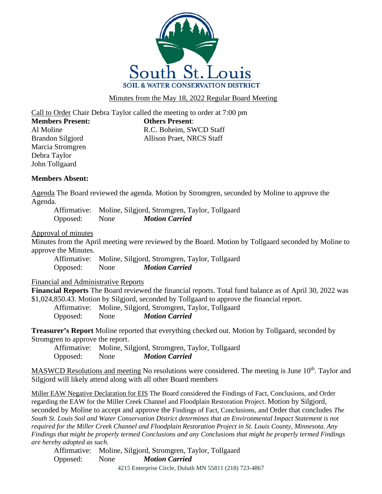

Minutes from the May 18, 2022 Regular Board Meeting

Call to Order Chair Debra Taylor called the meeting to order at 7:00 pm **Members Present: Others Present**:

Marcia Stromgren Debra Taylor John Tollgaard

Al Moline R.C. Boheim, SWCD Staff Brandon Silgjord Allison Praet, NRCS Staff

## **Members Absent:**

Agenda The Board reviewed the agenda. Motion by Stromgren, seconded by Moline to approve the Agenda.

Affirmative: Moline, Silgjord, Stromgren, Taylor, Tollgaard Opposed: None *Motion Carried*

## Approval of minutes

Minutes from the April meeting were reviewed by the Board. Motion by Tollgaard seconded by Moline to approve the Minutes.

Affirmative: Moline, Silgjord, Stromgren, Taylor, Tollgaard Opposed: None *Motion Carried*

## Financial and Administrative Reports

**Financial Reports** The Board reviewed the financial reports. Total fund balance as of April 30, 2022 was \$1,024,850.43. Motion by Silgjord, seconded by Tollgaard to approve the financial report.

Affirmative: Moline, Silgjord, Stromgren, Taylor, Tollgaard Opposed: None *Motion Carried*

**Treasurer's Report** Moline reported that everything checked out. Motion by Tollgaard, seconded by Stromgren to approve the report.

Affirmative: Moline, Silgjord, Stromgren, Taylor, Tollgaard Opposed: None *Motion Carried*

MASWCD Resolutions and meeting No resolutions were considered. The meeting is June 10<sup>th</sup>. Taylor and Silgjord will likely attend along with all other Board members

Miller EAW Negative Declaration for EIS The Board considered the Findings of Fact, Conclusions, and Order regarding the EAW for the Miller Creek Channel and Floodplain Restoration Project. Motion by Silgjord, seconded by Moline to accept and approve the Findings of Fact, Conclusions, and Order that concludes *The South St. Louis Soil and Water Conservation District determines that an Environmental Impact Statement is not required for the Miller Creek Channel and Floodplain Restoration Project in St. Louis County, Minnesota. Any Findings that might be properly termed Conclusions and any Conclusions that might be properly termed Findings are hereby adopted as such.*

Affirmative: Moline, Silgjord, Stromgren, Taylor, Tollgaard Opposed: None *Motion Carried*

4215 Enterprise Circle, Duluth MN 55811 (218) 723-4867